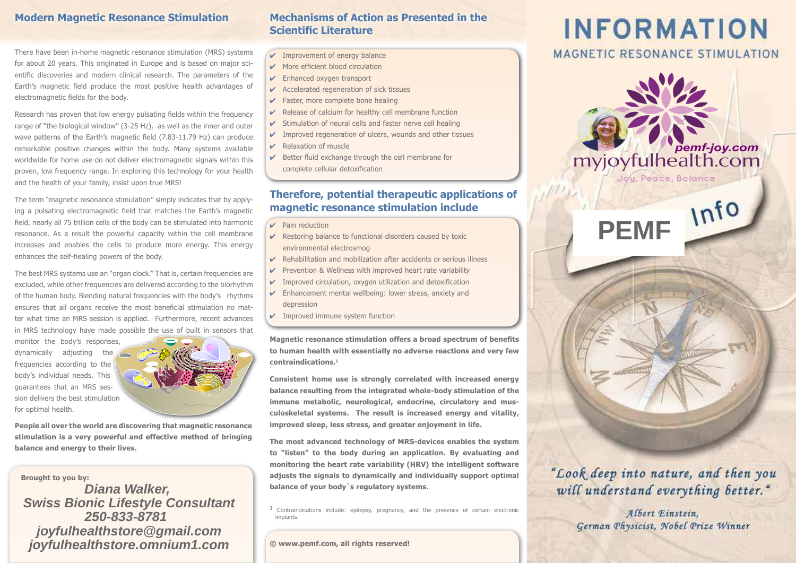There have been in-home magnetic resonance stimulation (MRS) systems for about 20 years. This originated in Europe and is based on major scientific discoveries and modern clinical research. The parameters of the Earth's magnetic field produce the most positive health advantages of electromagnetic fields for the body.

Research has proven that low energy pulsating fields within the frequency range of "the biological window" (3-25 Hz), as well as the inner and outer wave patterns of the Earth's magnetic field (7.83-11.79 Hz) can produce remarkable positive changes within the body. Many systems available worldwide for home use do not deliver electromagnetic signals within this proven, low frequency range. In exploring this technology for your health and the health of your family, insist upon true MRS!

The term "magnetic resonance stimulation" simply indicates that by applying a pulsating electromagnetic field that matches the Earth's magnetic ield, nearly all 75 trillion cells of the body can be stimulated into harmonic resonance. As a result the powerful capacity within the cell membrane increases and enables the cells to produce more energy. This energy enhances the self-healing powers of the body.

The best MRS systems use an "organ clock." That is, certain frequencies are excluded, while other frequencies are delivered according to the biorhythm of the human body. Blending natural frequencies with the body's rhythms ensures that all organs receive the most beneficial stimulation no matter what time an MRS session is applied. Furthermore, recent advances in MRS technology have made possible the use of built in sensors that

monitor the body's responses, dynamically adjusting the frequencies according to the body's individual needs. This guarantees that an MRS session delivers the best stimulation for optimal health.



**People all over the world are discovering that magnetic resonance stimulation is a very powerful and effective method of bringing balance and energy to their lives.**

**Brought to you by:**

## **Diana Walker, Swiss Bionic Lifestyle Consultant 250-833-8781 joyfulhealthstore@gmail.com joyfulhealthstore.omnium1.com**

## **Modern Magnetic Resonance Stimulation Mechanisms of Action as Presented in the Scientific Literature**

- $\checkmark$  Improvement of energy balance
- $\vee$  More efficient blood circulation
- $\triangleright$  Enhanced oxygen transport
- $\boldsymbol{\nu}$  Accelerated regeneration of sick tissues
- $\checkmark$  Faster, more complete bone healing
- $\vee$  Release of calcium for healthy cell membrane function
- $\checkmark$  Stimulation of neural cells and faster nerve cell healing
- $\checkmark$  Improved regeneration of ulcers, wounds and other tissues
- $\triangleright$  Relaxation of muscle
- $\vee$  Better fluid exchange through the cell membrane for complete cellular detoxification

### **Therefore, potential therapeutic applications of magnetic resonance stimulation include**

- ✔ Pain reduction
- $\triangleright$  Restoring balance to functional disorders caused by toxic environmental electrosmog
- $\triangleright$  Rehabilitation and mobilization after accidents or serious illness
- $\checkmark$  Prevention & Wellness with improved heart rate variability
- $\checkmark$  Improved circulation, oxygen utilization and detoxification
- $\triangleright$  Enhancement mental wellbeing: lower stress, anxiety and depression
- $\checkmark$  Improved immune system function

**Magnetic resonance stimulation offers a broad spectrum of benefits to human health with essentially no adverse reactions and very few contraindications.<sup>1</sup>**

**Consistent home use is strongly correlated with increased energy balance resulting from the integrated whole-body stimulation of the immune metabolic, neurological, endocrine, circulatory and musculoskeletal systems. The result is increased energy and vitality, improved sleep, less stress, and greater enjoyment in life.** 

**The most advanced technology of MRS-devices enables the system to "listen" to the body during an application. By evaluating and monitoring the heart rate variability (HRV) the intelligent software adjusts the signals to dynamically and individually support optimal balance of your body`s regulatory systems.**

<sup>1</sup> Contraindications include: epilepsy, pregnancy, and the presence of certain electronic implants.

**© www.pemf.com, all rights reserved!**

# **INFORMATION**

# MAGNETIC RESONANCE STIMULATION



"Look deep into nature, and then you will understand everything better."

> Albert Einstein. German Physicist, Nobel Prize Winner